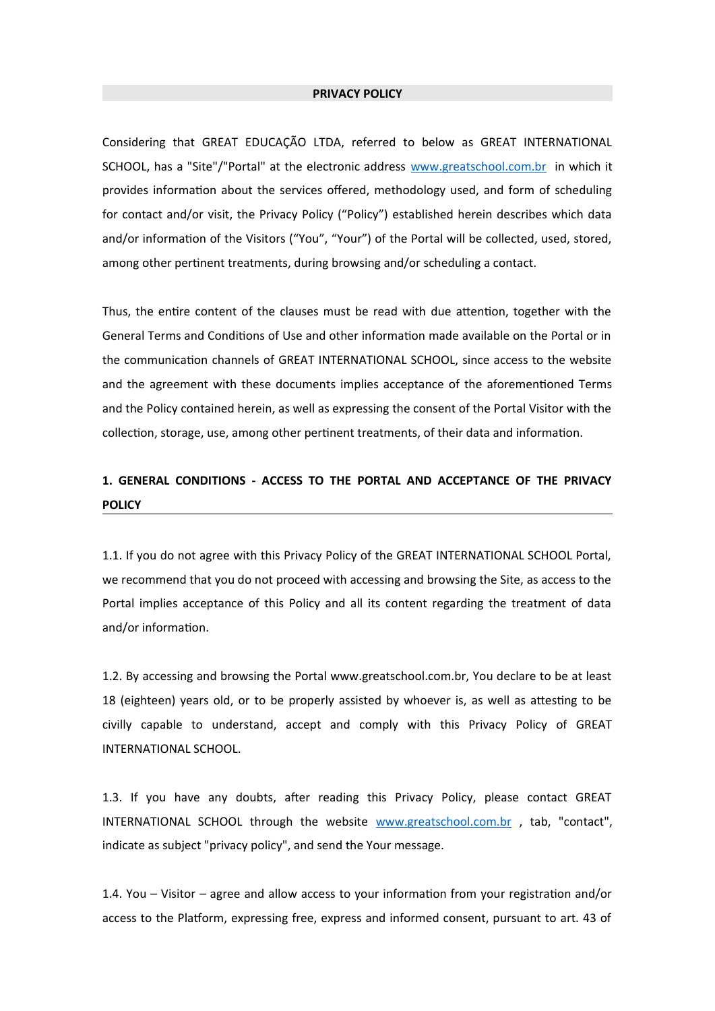#### **PRIVACY POLICY**

Considering that GREAT EDUCAÇÃO LTDA, referred to below as GREAT INTERNATIONAL SCHOOL, has a "Site"/"Portal" at the electronic address [www.greatschool.com.br](http://www.greatschool.com.br/) in which it provides information about the services offered, methodology used, and form of scheduling for contact and/or visit, the Privacy Policy ("Policy") established herein describes which data and/or information of the Visitors ("You", "Your") of the Portal will be collected, used, stored, among other pertinent treatments, during browsing and/or scheduling a contact.

Thus, the entire content of the clauses must be read with due attention, together with the General Terms and Conditions of Use and other information made available on the Portal or in the communication channels of GREAT INTERNATIONAL SCHOOL, since access to the website and the agreement with these documents implies acceptance of the aforementioned Terms and the Policy contained herein, as well as expressing the consent of the Portal Visitor with the collection, storage, use, among other pertinent treatments, of their data and information.

# **1. GENERAL CONDITIONS - ACCESS TO THE PORTAL AND ACCEPTANCE OF THE PRIVACY POLICY**

1.1. If you do not agree with this Privacy Policy of the GREAT INTERNATIONAL SCHOOL Portal, we recommend that you do not proceed with accessing and browsing the Site, as access to the Portal implies acceptance of this Policy and all its content regarding the treatment of data and/or information.

1.2. By accessing and browsing the Portal www.greatschool.com.br, You declare to be at least 18 (eighteen) years old, or to be properly assisted by whoever is, as well as attesting to be civilly capable to understand, accept and comply with this Privacy Policy of GREAT INTERNATIONAL SCHOOL.

1.3. If you have any doubts, after reading this Privacy Policy, please contact GREAT INTERNATIONAL SCHOOL through the website [www.greatschool.com.br](http://www.greatschool.com.br/) , tab, "contact", indicate as subject "privacy policy", and send the Your message.

1.4. You – Visitor – agree and allow access to your information from your registration and/or access to the Platform, expressing free, express and informed consent, pursuant to art. 43 of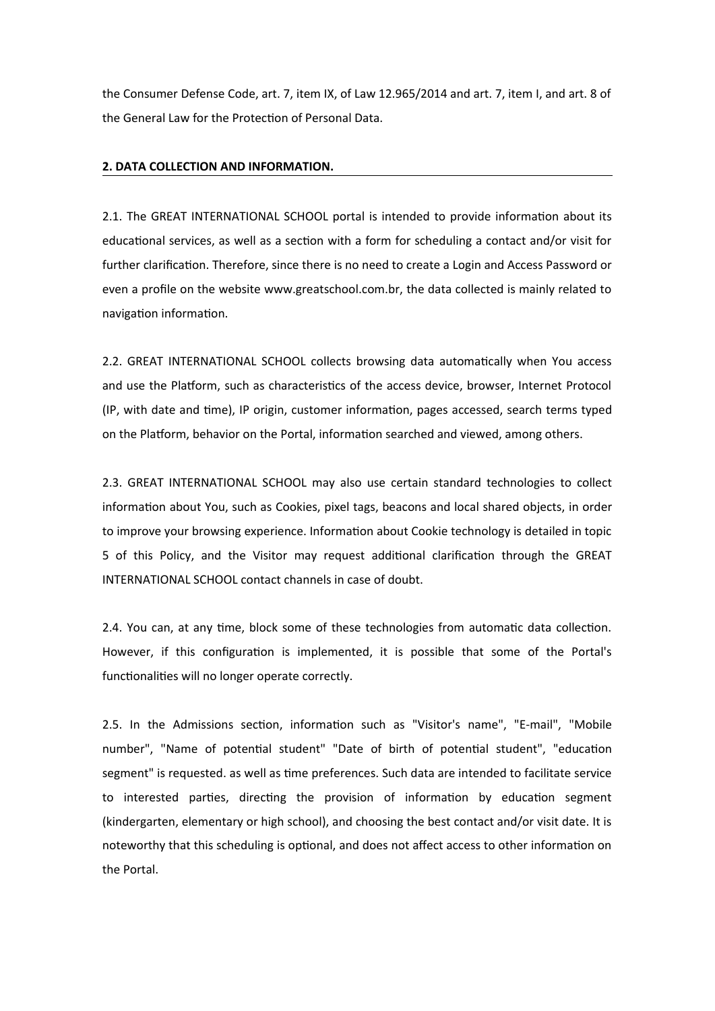the Consumer Defense Code, art. 7, item IX, of Law 12.965/2014 and art. 7, item I, and art. 8 of the General Law for the Protection of Personal Data.

## **2. DATA COLLECTION AND INFORMATION.**

2.1. The GREAT INTERNATIONAL SCHOOL portal is intended to provide information about its educational services, as well as a section with a form for scheduling a contact and/or visit for further clarification. Therefore, since there is no need to create a Login and Access Password or even a profile on the website www.greatschool.com.br, the data collected is mainly related to navigation information.

2.2. GREAT INTERNATIONAL SCHOOL collects browsing data automatically when You access and use the Platform, such as characteristics of the access device, browser, Internet Protocol (IP, with date and time), IP origin, customer information, pages accessed, search terms typed on the Platform, behavior on the Portal, information searched and viewed, among others.

2.3. GREAT INTERNATIONAL SCHOOL may also use certain standard technologies to collect information about You, such as Cookies, pixel tags, beacons and local shared objects, in order to improve your browsing experience. Information about Cookie technology is detailed in topic 5 of this Policy, and the Visitor may request additional clarification through the GREAT INTERNATIONAL SCHOOL contact channels in case of doubt.

2.4. You can, at any time, block some of these technologies from automatic data collection. However, if this configuration is implemented, it is possible that some of the Portal's functionalities will no longer operate correctly.

2.5. In the Admissions section, information such as "Visitor's name", "E-mail", "Mobile number", "Name of potential student" "Date of birth of potential student", "education segment" is requested. as well as time preferences. Such data are intended to facilitate service to interested parties, directing the provision of information by education segment (kindergarten, elementary or high school), and choosing the best contact and/or visit date. It is noteworthy that this scheduling is optional, and does not affect access to other information on the Portal.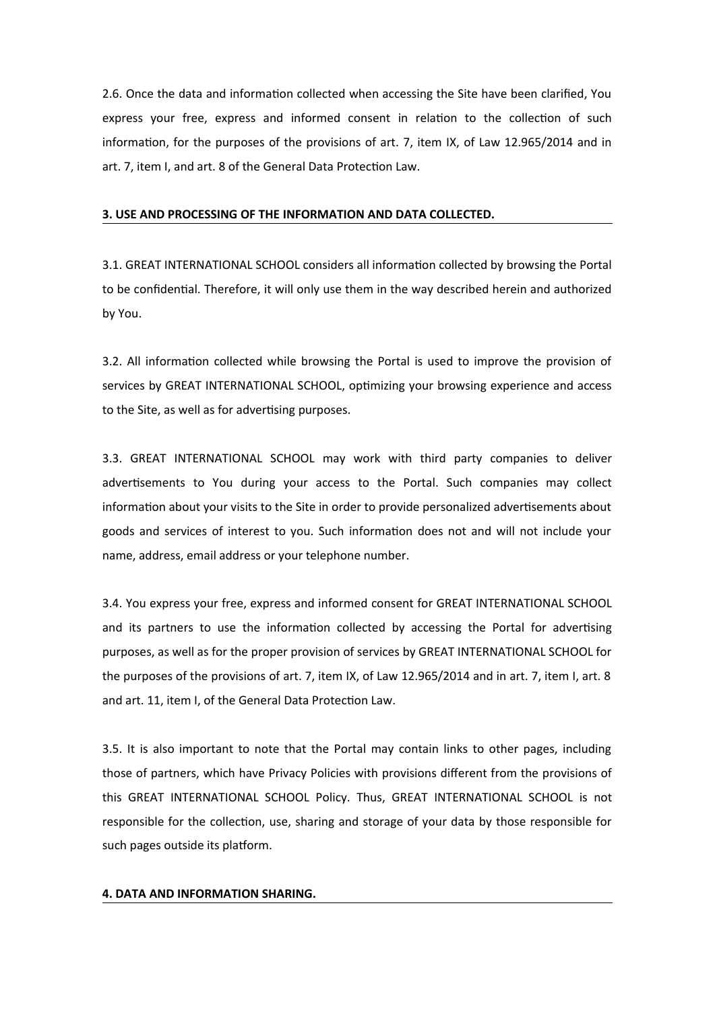2.6. Once the data and information collected when accessing the Site have been clarified, You express your free, express and informed consent in relation to the collection of such information, for the purposes of the provisions of art. 7, item IX, of Law 12.965/2014 and in art. 7, item I, and art. 8 of the General Data Protection Law.

## **3. USE AND PROCESSING OF THE INFORMATION AND DATA COLLECTED.**

3.1. GREAT INTERNATIONAL SCHOOL considers all information collected by browsing the Portal to be confidential. Therefore, it will only use them in the way described herein and authorized by You.

3.2. All information collected while browsing the Portal is used to improve the provision of services by GREAT INTERNATIONAL SCHOOL, optimizing your browsing experience and access to the Site, as well as for advertising purposes.

3.3. GREAT INTERNATIONAL SCHOOL may work with third party companies to deliver advertisements to You during your access to the Portal. Such companies may collect information about your visits to the Site in order to provide personalized advertisements about goods and services of interest to you. Such information does not and will not include your name, address, email address or your telephone number.

3.4. You express your free, express and informed consent for GREAT INTERNATIONAL SCHOOL and its partners to use the information collected by accessing the Portal for advertising purposes, as well as for the proper provision of services by GREAT INTERNATIONAL SCHOOL for the purposes of the provisions of art. 7, item IX, of Law 12.965/2014 and in art. 7, item I, art. 8 and art. 11, item I, of the General Data Protection Law.

3.5. It is also important to note that the Portal may contain links to other pages, including those of partners, which have Privacy Policies with provisions different from the provisions of this GREAT INTERNATIONAL SCHOOL Policy. Thus, GREAT INTERNATIONAL SCHOOL is not responsible for the collection, use, sharing and storage of your data by those responsible for such pages outside its platform.

#### **4. DATA AND INFORMATION SHARING.**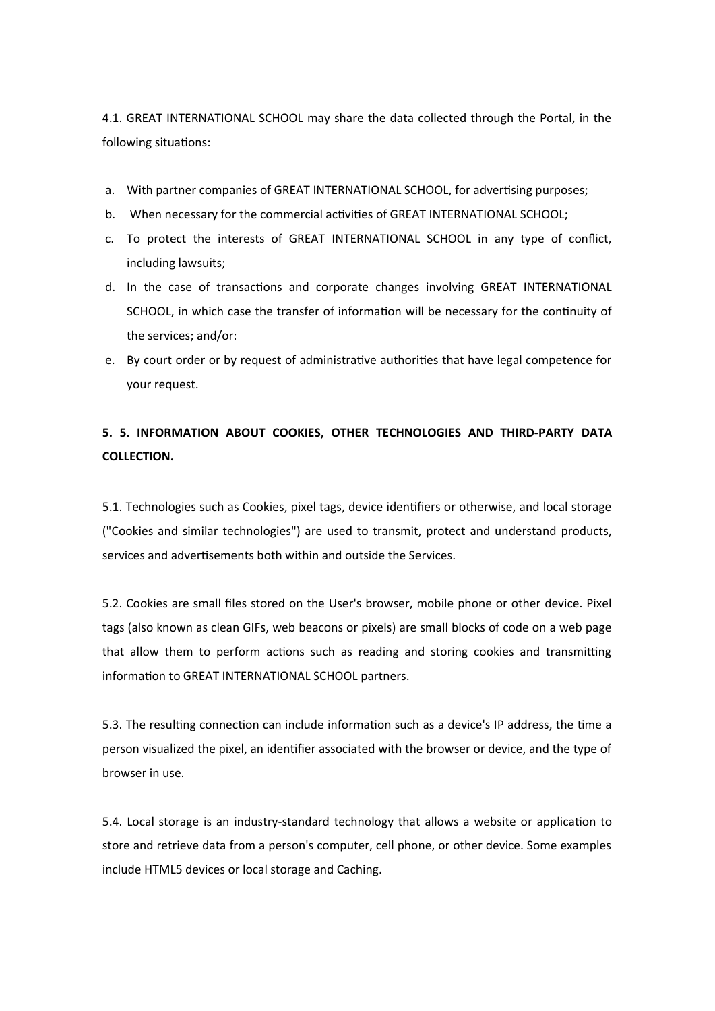4.1. GREAT INTERNATIONAL SCHOOL may share the data collected through the Portal, in the following situations:

- a. With partner companies of GREAT INTERNATIONAL SCHOOL, for advertising purposes;
- b. When necessary for the commercial activities of GREAT INTERNATIONAL SCHOOL;
- c. To protect the interests of GREAT INTERNATIONAL SCHOOL in any type of conflict, including lawsuits;
- d. In the case of transactions and corporate changes involving GREAT INTERNATIONAL SCHOOL, in which case the transfer of information will be necessary for the continuity of the services; and/or:
- e. By court order or by request of administrative authorities that have legal competence for your request.

# **5. 5. INFORMATION ABOUT COOKIES, OTHER TECHNOLOGIES AND THIRD-PARTY DATA COLLECTION.**

5.1. Technologies such as Cookies, pixel tags, device identifiers or otherwise, and local storage ("Cookies and similar technologies") are used to transmit, protect and understand products, services and advertisements both within and outside the Services.

5.2. Cookies are small files stored on the User's browser, mobile phone or other device. Pixel tags (also known as clean GIFs, web beacons or pixels) are small blocks of code on a web page that allow them to perform actions such as reading and storing cookies and transmitting information to GREAT INTERNATIONAL SCHOOL partners.

5.3. The resulting connection can include information such as a device's IP address, the time a person visualized the pixel, an identifier associated with the browser or device, and the type of browser in use.

5.4. Local storage is an industry-standard technology that allows a website or application to store and retrieve data from a person's computer, cell phone, or other device. Some examples include HTML5 devices or local storage and Caching.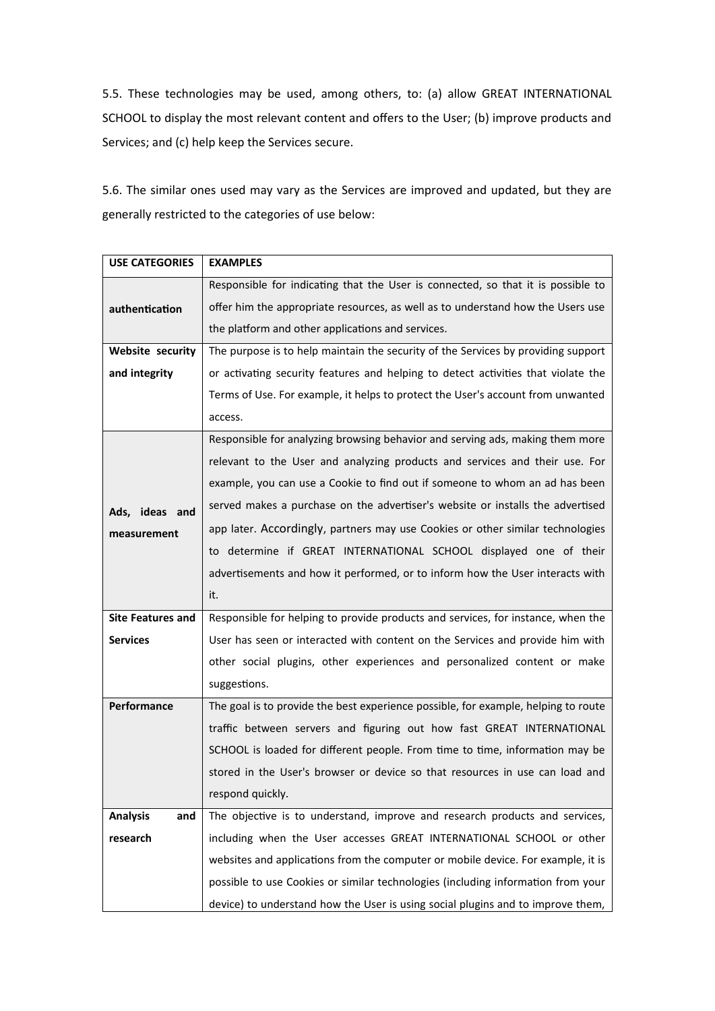5.5. These technologies may be used, among others, to: (a) allow GREAT INTERNATIONAL SCHOOL to display the most relevant content and offers to the User; (b) improve products and Services; and (c) help keep the Services secure.

5.6. The similar ones used may vary as the Services are improved and updated, but they are generally restricted to the categories of use below:

| <b>USE CATEGORIES</b>    | <b>EXAMPLES</b>                                                                    |
|--------------------------|------------------------------------------------------------------------------------|
|                          | Responsible for indicating that the User is connected, so that it is possible to   |
| authentication           | offer him the appropriate resources, as well as to understand how the Users use    |
|                          | the platform and other applications and services.                                  |
| Website security         | The purpose is to help maintain the security of the Services by providing support  |
| and integrity            | or activating security features and helping to detect activities that violate the  |
|                          | Terms of Use. For example, it helps to protect the User's account from unwanted    |
|                          | access.                                                                            |
|                          | Responsible for analyzing browsing behavior and serving ads, making them more      |
| Ads, ideas and           | relevant to the User and analyzing products and services and their use. For        |
|                          | example, you can use a Cookie to find out if someone to whom an ad has been        |
|                          | served makes a purchase on the advertiser's website or installs the advertised     |
| measurement              | app later. Accordingly, partners may use Cookies or other similar technologies     |
|                          | to determine if GREAT INTERNATIONAL SCHOOL displayed one of their                  |
|                          | advertisements and how it performed, or to inform how the User interacts with      |
|                          | it.                                                                                |
| <b>Site Features and</b> | Responsible for helping to provide products and services, for instance, when the   |
| <b>Services</b>          | User has seen or interacted with content on the Services and provide him with      |
|                          | other social plugins, other experiences and personalized content or make           |
|                          | suggestions.                                                                       |
| Performance              | The goal is to provide the best experience possible, for example, helping to route |
|                          | traffic between servers and figuring out how fast GREAT INTERNATIONAL              |
|                          | SCHOOL is loaded for different people. From time to time, information may be       |
|                          | stored in the User's browser or device so that resources in use can load and       |
|                          | respond quickly.                                                                   |
| <b>Analysis</b><br>and   | The objective is to understand, improve and research products and services,        |
| research                 | including when the User accesses GREAT INTERNATIONAL SCHOOL or other               |
|                          | websites and applications from the computer or mobile device. For example, it is   |
|                          | possible to use Cookies or similar technologies (including information from your   |
|                          | device) to understand how the User is using social plugins and to improve them,    |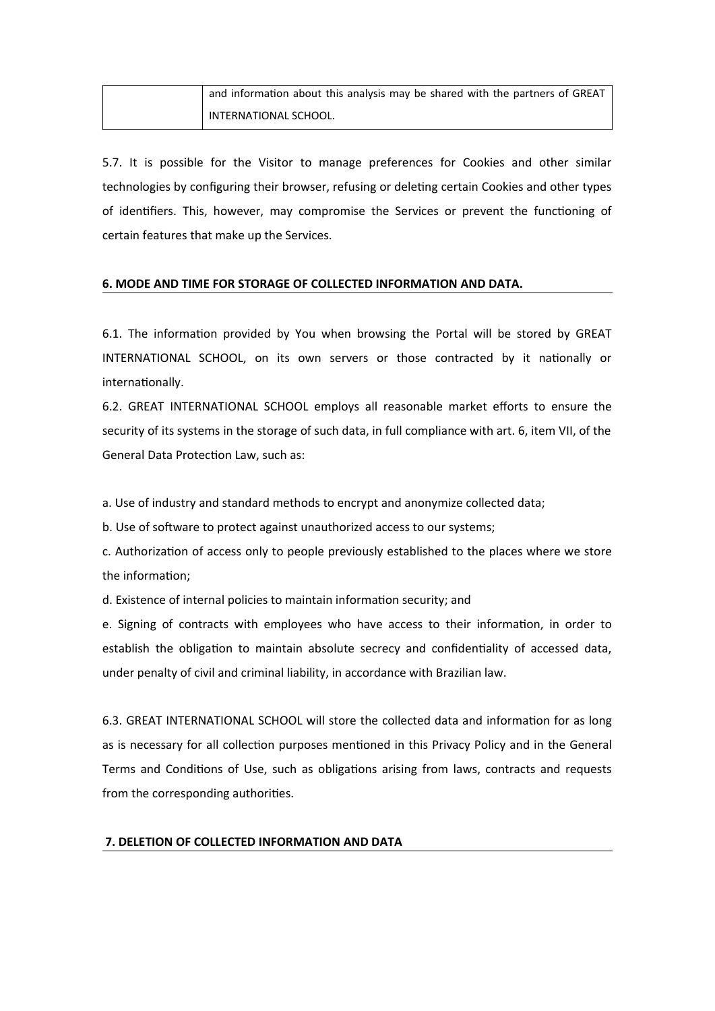| and information about this analysis may be shared with the partners of GREAT |
|------------------------------------------------------------------------------|
| INTERNATIONAL SCHOOL.                                                        |

5.7. It is possible for the Visitor to manage preferences for Cookies and other similar technologies by configuring their browser, refusing or deleting certain Cookies and other types of identifiers. This, however, may compromise the Services or prevent the functioning of certain features that make up the Services.

## **6. MODE AND TIME FOR STORAGE OF COLLECTED INFORMATION AND DATA.**

6.1. The information provided by You when browsing the Portal will be stored by GREAT INTERNATIONAL SCHOOL, on its own servers or those contracted by it nationally or internationally.

6.2. GREAT INTERNATIONAL SCHOOL employs all reasonable market efforts to ensure the security of its systems in the storage of such data, in full compliance with art. 6, item VII, of the General Data Protection Law, such as:

a. Use of industry and standard methods to encrypt and anonymize collected data;

b. Use of software to protect against unauthorized access to our systems;

c. Authorization of access only to people previously established to the places where we store the information;

d. Existence of internal policies to maintain information security; and

e. Signing of contracts with employees who have access to their information, in order to establish the obligation to maintain absolute secrecy and confidentiality of accessed data, under penalty of civil and criminal liability, in accordance with Brazilian law.

6.3. GREAT INTERNATIONAL SCHOOL will store the collected data and information for as long as is necessary for all collection purposes mentioned in this Privacy Policy and in the General Terms and Conditions of Use, such as obligations arising from laws, contracts and requests from the corresponding authorities.

## **7. DELETION OF COLLECTED INFORMATION AND DATA**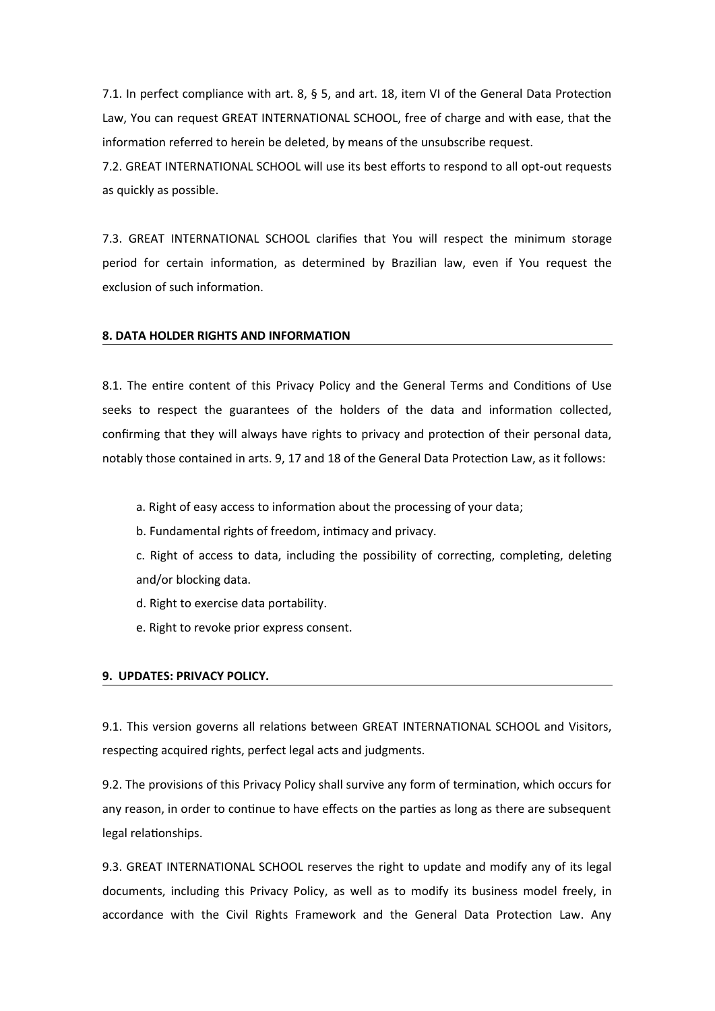7.1. In perfect compliance with art. 8, § 5, and art. 18, item VI of the General Data Protection Law, You can request GREAT INTERNATIONAL SCHOOL, free of charge and with ease, that the information referred to herein be deleted, by means of the unsubscribe request.

7.2. GREAT INTERNATIONAL SCHOOL will use its best efforts to respond to all opt-out requests as quickly as possible.

7.3. GREAT INTERNATIONAL SCHOOL clarifies that You will respect the minimum storage period for certain information, as determined by Brazilian law, even if You request the exclusion of such information.

#### **8. DATA HOLDER RIGHTS AND INFORMATION**

8.1. The entire content of this Privacy Policy and the General Terms and Conditions of Use seeks to respect the guarantees of the holders of the data and information collected, confirming that they will always have rights to privacy and protection of their personal data, notably those contained in arts. 9, 17 and 18 of the General Data Protection Law, as it follows:

a. Right of easy access to information about the processing of your data;

b. Fundamental rights of freedom, intimacy and privacy.

c. Right of access to data, including the possibility of correcting, completing, deleting and/or blocking data.

- d. Right to exercise data portability.
- e. Right to revoke prior express consent.

## **9. UPDATES: PRIVACY POLICY.**

9.1. This version governs all relations between GREAT INTERNATIONAL SCHOOL and Visitors, respecting acquired rights, perfect legal acts and judgments.

9.2. The provisions of this Privacy Policy shall survive any form of termination, which occurs for any reason, in order to continue to have effects on the parties as long as there are subsequent legal relationships.

9.3. GREAT INTERNATIONAL SCHOOL reserves the right to update and modify any of its legal documents, including this Privacy Policy, as well as to modify its business model freely, in accordance with the Civil Rights Framework and the General Data Protection Law. Any